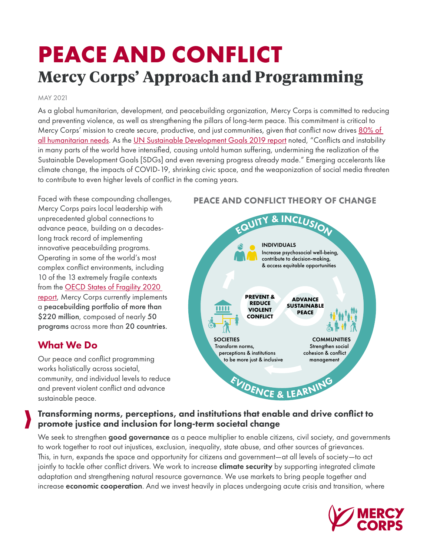# **PEACE AND CONFLICT Mercy Corps' Approach and Programming**

#### MAY 2021

As a global humanitarian, development, and peacebuilding organization, Mercy Corps is committed to reducing and preventing violence, as well as strengthening the pillars of long-term peace. This commitment is critical to Mercy Corps' mission to create secure, productive, and just communities, given that conflict now drives 80% of [all humanitarian needs](https://www.worldbank.org/en/topic/fragilityconflictviolence/overview#:~:text=Fragility%2C%20conflict%2C%20and%20violence%20(,80%25%20of%20all%20humanitarian%20needs.). As the [UN Sustainable Development Goals 2019 report](https://sustainabledevelopment.un.org/content/documents/24978Report_of_the_SG_on_SDG_Progress_2019.pdf) noted, "Conflicts and instability in many parts of the world have intensified, causing untold human suffering, undermining the realization of the Sustainable Development Goals [SDGs] and even reversing progress already made." Emerging accelerants like climate change, the impacts of COVID-19, shrinking civic space, and the weaponization of social media threaten to contribute to even higher levels of conflict in the coming years.

Faced with these compounding challenges, Mercy Corps pairs local leadership with unprecedented global connections to advance peace, building on a decadeslong track record of implementing innovative peacebuilding programs. Operating in some of the world's most complex conflict environments, including 10 of the 13 extremely fragile contexts from the [OECD States of Fragility 2020](https://www.oecd-ilibrary.org/sites/ba7c22e7-en/1/3/1/index.html?itemId=/content/publication/ba7c22e7-en&_csp_=89578a182071559ff79c670c40753038&itemIGO=oecd&itemContentType=book)  [report,](https://www.oecd-ilibrary.org/sites/ba7c22e7-en/1/3/1/index.html?itemId=/content/publication/ba7c22e7-en&_csp_=89578a182071559ff79c670c40753038&itemIGO=oecd&itemContentType=book) Mercy Corps currently implements a peacebuilding portfolio of more than \$220 million, composed of nearly 50 programs across more than 20 countries.

### What We Do

Our peace and conflict programming works holistically across societal, community, and individual levels to reduce and prevent violent conflict and advance sustainable peace.

### PEACE AND CONFLICT THEORY OF CHANGE



### Transforming norms, perceptions, and institutions that enable and drive conflict to promote justice and inclusion for long-term societal change

We seek to strengthen good governance as a peace multiplier to enable citizens, civil society, and governments to work together to root out injustices, exclusion, inequality, state abuse, and other sources of grievances. This, in turn, expands the space and opportunity for citizens and government—at all levels of society—to act jointly to tackle other conflict drivers. We work to increase **climate security** by supporting integrated climate adaptation and strengthening natural resource governance. We use markets to bring people together and increase economic cooperation. And we invest heavily in places undergoing acute crisis and transition, where

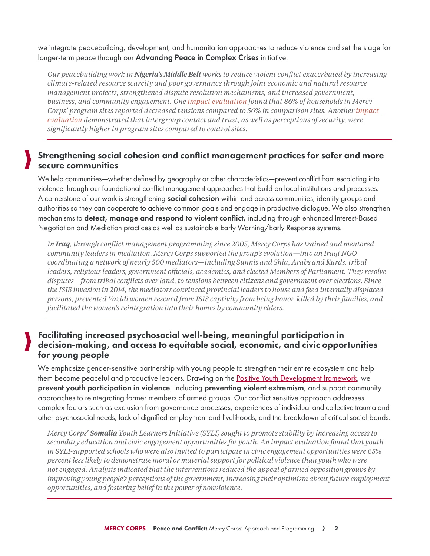we integrate peacebuilding, development, and humanitarian approaches to reduce violence and set the stage for longer-term peace through our Advancing Peace in Complex Crises initiative.

*Our peacebuilding work in Nigeria's Middle Belt works to reduce violent conflict exacerbated by increasing climate-related resource scarcity and poor governance through joint economic and natural resource management projects, strengthened dispute resolution mechanisms, and increased government, business, and community engagement. One [impact evaluation](https://www.mercycorps.org/research-resources/impact-evaluation-conflict-economy) found that 86% of households in Mercy Corps' program sites reported decreased tensions compared to 56% in comparison sites. Another impact [evaluation](https://www.mercycorps.org/research-resources/does-peacebuilding-work-midst-conflict) demonstrated that intergroup contact and trust, as well as perceptions of security, were significantly higher in program sites compared to control sites.*

### Strengthening social cohesion and conflict management practices for safer and more secure communities

We help communities—whether defined by geography or other characteristics—prevent conflict from escalating into violence through our foundational conflict management approaches that build on local institutions and processes. A cornerstone of our work is strengthening **social cohesion** within and across communities, identity groups and authorities so they can cooperate to achieve common goals and engage in productive dialogue. We also strengthen mechanisms to detect, manage and respond to violent conflict, including through enhanced Interest-Based Negotiation and Mediation practices as well as sustainable Early Warning/Early Response systems.

*In Iraq, through conflict management programming since 2005, Mercy Corps has trained and mentored community leaders in mediation. Mercy Corps supported the group's evolution—into an Iraqi NGO coordinating a network of nearly 500 mediators—including Sunnis and Shia, Arabs and Kurds, tribal leaders, religious leaders, government officials, academics, and elected Members of Parliament. They resolve disputes—from tribal conflicts over land, to tensions between citizens and government over elections. Since the ISIS invasion in 2014, the mediators convinced provincial leaders to house and feed internally displaced persons, prevented Yazidi women rescued from ISIS captivity from being honor-killed by their families, and facilitated the women's reintegration into their homes by community elders.*

### Facilitating increased psychosocial well-being, meaningful participation in decision-making, and access to equitable social, economic, and civic opportunities for young people

We emphasize gender-sensitive partnership with young people to strengthen their entire ecosystem and help them become peaceful and productive leaders. Drawing on the **[Positive Youth Development framework](https://www.youthpower.org/positive-youth-development-pyd-framework)**, we prevent youth participation in violence, including preventing violent extremism, and support community approaches to reintegrating former members of armed groups. Our conflict sensitive approach addresses complex factors such as exclusion from governance processes, experiences of individual and collective trauma and other psychosocial needs, lack of dignified employment and livelihoods, and the breakdown of critical social bonds.

*Mercy Corps' Somalia Youth Learners Initiative (SYLI) sought to promote stability by increasing access to secondary education and civic engagement opportunities for youth. An impact evaluation found that youth in SYLI-supported schools who were also invited to participate in civic engagement opportunities were 65% percent less likely to demonstrate moral or material support for political violence than youth who were not engaged. Analysis indicated that the interventions reduced the appeal of armed opposition groups by improving young people's perceptions of the government, increasing their optimism about future employment opportunities, and fostering belief in the power of nonviolence.*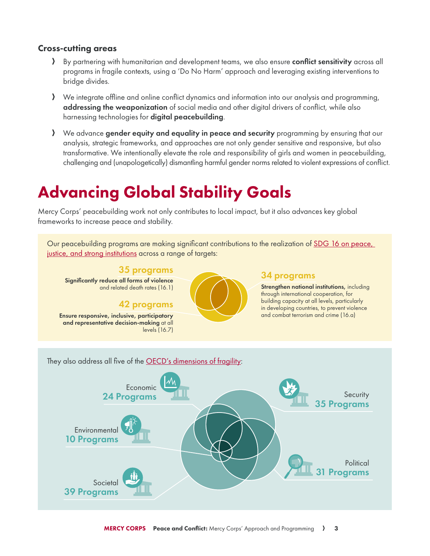#### Cross-cutting areas

- A By partnering with humanitarian and development teams, we also ensure conflict sensitivity across all programs in fragile contexts, using a 'Do No Harm' approach and leveraging existing interventions to bridge divides.
- A We integrate offline and online conflict dynamics and information into our analysis and programming, addressing the weaponization of social media and other digital drivers of conflict, while also harnessing technologies for **digital peacebuilding**.
- A We advance gender equity and equality in peace and security programming by ensuring that our analysis, strategic frameworks, and approaches are not only gender sensitive and responsive, but also transformative. We intentionally elevate the role and responsibility of girls and women in peacebuilding, challenging and (unapologetically) dismantling harmful gender norms related to violent expressions of conflict.

### Advancing Global Stability Goals

Mercy Corps' peacebuilding work not only contributes to local impact, but it also advances key global frameworks to increase peace and stability.

Our peacebuilding programs are making significant contributions to the realization of [SDG 16 on peace,](https://sdgs.un.org/goals/goal16)  [justice, and strong institutions](https://sdgs.un.org/goals/goal16) across a range of targets: